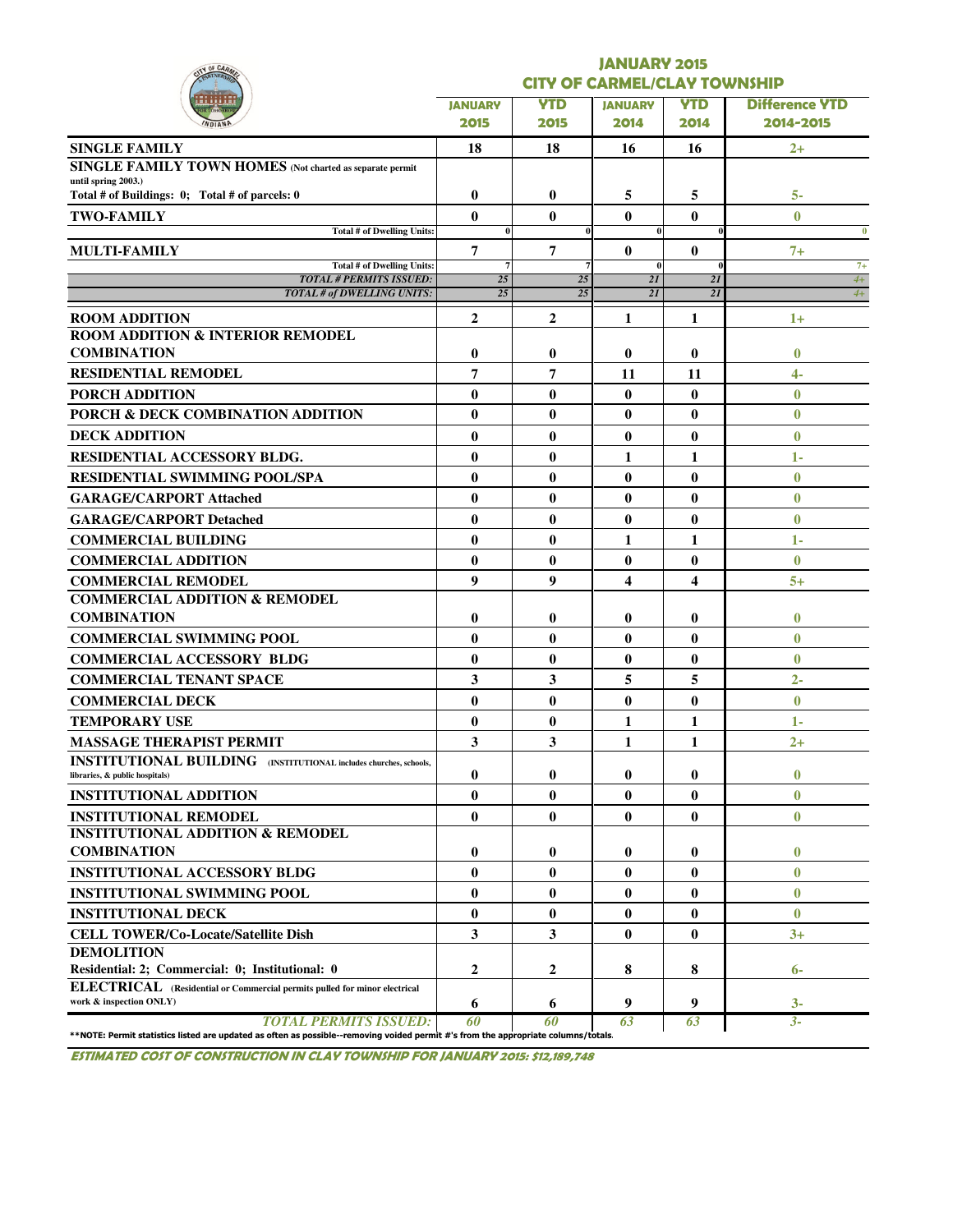| <b>Y OF CAR</b>                                                                                                                                                    | <b>JANUARY 2015</b>                 |              |                         |                 |                       |  |  |  |  |  |  |
|--------------------------------------------------------------------------------------------------------------------------------------------------------------------|-------------------------------------|--------------|-------------------------|-----------------|-----------------------|--|--|--|--|--|--|
|                                                                                                                                                                    | <b>CITY OF CARMEL/CLAY TOWNSHIP</b> |              |                         |                 |                       |  |  |  |  |  |  |
|                                                                                                                                                                    | <b>JANUARY</b>                      | <b>YTD</b>   | <b>JANUARY</b>          | <b>YTD</b>      | <b>Difference YTD</b> |  |  |  |  |  |  |
|                                                                                                                                                                    | 2015                                | 2015         | 2014                    | 2014            | 2014-2015             |  |  |  |  |  |  |
| <b>SINGLE FAMILY</b>                                                                                                                                               | 18                                  | 18           | 16                      | 16              | $2+$                  |  |  |  |  |  |  |
| SINGLE FAMILY TOWN HOMES (Not charted as separate permit                                                                                                           |                                     |              |                         |                 |                       |  |  |  |  |  |  |
| until spring 2003.)<br>Total # of Buildings: 0; Total # of parcels: 0                                                                                              | $\bf{0}$                            | 0            | 5                       | 5               | 5-                    |  |  |  |  |  |  |
| <b>TWO-FAMILY</b>                                                                                                                                                  | $\bf{0}$                            | $\bf{0}$     | $\bf{0}$                | $\bf{0}$        | $\mathbf{0}$          |  |  |  |  |  |  |
| <b>Total # of Dwelling Units:</b>                                                                                                                                  | $\bf{0}$                            |              | $\bf{0}$                |                 | $\bf{0}$              |  |  |  |  |  |  |
| <b>MULTI-FAMILY</b>                                                                                                                                                | 7                                   | 7            | $\bf{0}$                | $\bf{0}$        | $7+$                  |  |  |  |  |  |  |
| Total # of Dwelling Units:<br><b>TOTAL # PERMITS ISSUED:</b>                                                                                                       | $\overline{7}$<br>25                | 25           | $\mathbf{0}$<br>2I      | $\theta$<br>2I  | $7+$<br>$4+$          |  |  |  |  |  |  |
| <b>TOTAL # of DWELLING UNITS:</b>                                                                                                                                  | 25                                  | 25           | 2I                      | $\overline{2I}$ | $4+$                  |  |  |  |  |  |  |
| <b>ROOM ADDITION</b>                                                                                                                                               | $\mathbf{2}$                        | $\mathbf{2}$ | 1                       | 1               | $1+$                  |  |  |  |  |  |  |
| <b>ROOM ADDITION &amp; INTERIOR REMODEL</b>                                                                                                                        |                                     |              |                         |                 |                       |  |  |  |  |  |  |
| <b>COMBINATION</b>                                                                                                                                                 | $\bf{0}$                            | $\bf{0}$     | $\bf{0}$                | $\bf{0}$        | $\bf{0}$              |  |  |  |  |  |  |
| <b>RESIDENTIAL REMODEL</b>                                                                                                                                         | 7                                   | 7            | 11                      | 11              | $\overline{4}$        |  |  |  |  |  |  |
| <b>PORCH ADDITION</b>                                                                                                                                              | $\bf{0}$                            | $\bf{0}$     | $\bf{0}$                | $\bf{0}$        | $\mathbf{0}$          |  |  |  |  |  |  |
| PORCH & DECK COMBINATION ADDITION                                                                                                                                  | $\bf{0}$                            | $\bf{0}$     | 0                       | $\bf{0}$        | $\bf{0}$              |  |  |  |  |  |  |
| <b>DECK ADDITION</b>                                                                                                                                               | $\bf{0}$                            | $\bf{0}$     | $\bf{0}$                | $\bf{0}$        | $\bf{0}$              |  |  |  |  |  |  |
| <b>RESIDENTIAL ACCESSORY BLDG.</b>                                                                                                                                 | $\bf{0}$                            | $\bf{0}$     | 1                       | 1               | $1 -$                 |  |  |  |  |  |  |
| <b>RESIDENTIAL SWIMMING POOL/SPA</b>                                                                                                                               | $\bf{0}$                            | $\bf{0}$     | $\bf{0}$                | $\bf{0}$        | $\bf{0}$              |  |  |  |  |  |  |
| <b>GARAGE/CARPORT Attached</b>                                                                                                                                     | $\bf{0}$                            | $\bf{0}$     | $\bf{0}$                | $\bf{0}$        | $\bf{0}$              |  |  |  |  |  |  |
| <b>GARAGE/CARPORT Detached</b>                                                                                                                                     | $\bf{0}$                            | $\bf{0}$     | $\bf{0}$                | $\bf{0}$        | $\bf{0}$              |  |  |  |  |  |  |
| <b>COMMERCIAL BUILDING</b>                                                                                                                                         | $\bf{0}$                            | $\bf{0}$     | 1                       | 1               | 1-                    |  |  |  |  |  |  |
| <b>COMMERCIAL ADDITION</b>                                                                                                                                         | $\bf{0}$                            | $\bf{0}$     | $\bf{0}$                | $\bf{0}$        | $\bf{0}$              |  |  |  |  |  |  |
| <b>COMMERCIAL REMODEL</b>                                                                                                                                          | 9                                   | 9            | $\overline{\mathbf{4}}$ | 4               | $5+$                  |  |  |  |  |  |  |
| <b>COMMERCIAL ADDITION &amp; REMODEL</b>                                                                                                                           |                                     |              |                         |                 |                       |  |  |  |  |  |  |
| <b>COMBINATION</b>                                                                                                                                                 | 0                                   | $\bf{0}$     | $\bf{0}$                | $\bf{0}$        | $\bf{0}$              |  |  |  |  |  |  |
| <b>COMMERCIAL SWIMMING POOL</b>                                                                                                                                    | $\bf{0}$                            | $\bf{0}$     | $\bf{0}$                | $\bf{0}$        | $\mathbf{0}$          |  |  |  |  |  |  |
| <b>COMMERCIAL ACCESSORY BLDG</b>                                                                                                                                   | $\bf{0}$                            | $\bf{0}$     | $\bf{0}$                | $\bf{0}$        | $\bf{0}$              |  |  |  |  |  |  |
| <b>COMMERCIAL TENANT SPACE</b>                                                                                                                                     | 3                                   | 3            | 5                       | 5               | $2 -$                 |  |  |  |  |  |  |
| <b>COMMERCIAL DECK</b>                                                                                                                                             | $\bf{0}$                            | $\bf{0}$     | $\bf{0}$                | $\bf{0}$        | $\bf{0}$              |  |  |  |  |  |  |
| <b>TEMPORARY USE</b>                                                                                                                                               | $\bf{0}$                            | $\bf{0}$     | 1                       | 1               | $1 -$                 |  |  |  |  |  |  |
| <b>MASSAGE THERAPIST PERMIT</b>                                                                                                                                    | 3                                   | 3            | 1                       | 1               | $2+$                  |  |  |  |  |  |  |
| <b>INSTITUTIONAL BUILDING</b> (INSTITUTIONAL includes churches, schools,<br>libraries, & public hospitals)                                                         | 0                                   | 0            | $\bf{0}$                | $\bf{0}$        | $\bf{0}$              |  |  |  |  |  |  |
| <b>INSTITUTIONAL ADDITION</b>                                                                                                                                      | $\bf{0}$                            | $\bf{0}$     | $\bf{0}$                | $\bf{0}$        | $\bf{0}$              |  |  |  |  |  |  |
| <b>INSTITUTIONAL REMODEL</b>                                                                                                                                       | $\bf{0}$                            | $\bf{0}$     | $\bf{0}$                | $\bf{0}$        | $\bf{0}$              |  |  |  |  |  |  |
| <b>INSTITUTIONAL ADDITION &amp; REMODEL</b>                                                                                                                        |                                     |              |                         |                 |                       |  |  |  |  |  |  |
| <b>COMBINATION</b>                                                                                                                                                 | 0                                   | 0            | 0                       | $\bf{0}$        | $\bf{0}$              |  |  |  |  |  |  |
| <b>INSTITUTIONAL ACCESSORY BLDG</b>                                                                                                                                | $\bf{0}$                            | $\bf{0}$     | $\bf{0}$                | $\bf{0}$        | $\bf{0}$              |  |  |  |  |  |  |
| <b>INSTITUTIONAL SWIMMING POOL</b>                                                                                                                                 | $\bf{0}$                            | $\bf{0}$     | $\bf{0}$                | $\bf{0}$        | $\bf{0}$              |  |  |  |  |  |  |
| <b>INSTITUTIONAL DECK</b>                                                                                                                                          | $\bf{0}$                            | $\bf{0}$     | $\bf{0}$                | $\bf{0}$        | $\mathbf{0}$          |  |  |  |  |  |  |
| <b>CELL TOWER/Co-Locate/Satellite Dish</b>                                                                                                                         | 3                                   | 3            | $\bf{0}$                | $\bf{0}$        | $3+$                  |  |  |  |  |  |  |
| <b>DEMOLITION</b>                                                                                                                                                  |                                     |              |                         |                 |                       |  |  |  |  |  |  |
| Residential: 2; Commercial: 0; Institutional: 0                                                                                                                    | 2                                   | 2            | 8                       | 8               | $6-$                  |  |  |  |  |  |  |
| ELECTRICAL (Residential or Commercial permits pulled for minor electrical<br>work & inspection ONLY)                                                               | 6                                   | 6            | 9                       | 9               | $3-$                  |  |  |  |  |  |  |
| <b>TOTAL PERMITS ISSUED:</b><br>**NOTE: Permit statistics listed are updated as often as possible--removing voided permit #'s from the appropriate columns/totals. | 60                                  | 60           | 63                      | 63              | $3 -$                 |  |  |  |  |  |  |

ESTIMATED COST OF CONSTRUCTION IN CLAY TOWNSHIP FOR JANUARY 2015: \$12,189,748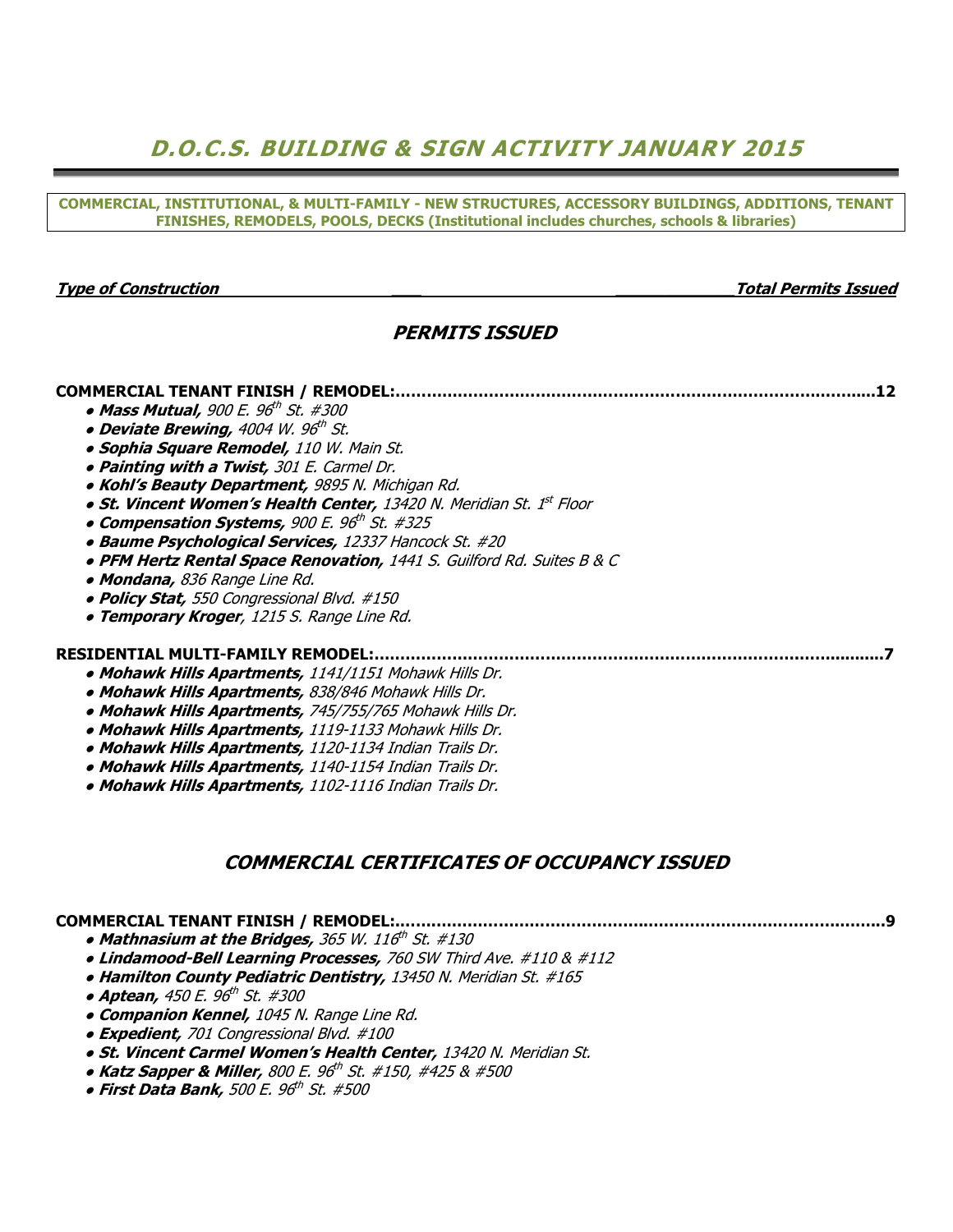# D.O.C.S. BUILDING & SIGN ACTIVITY JANUARY 2015

COMMERCIAL, INSTITUTIONAL, & MULTI-FAMILY - NEW STRUCTURES, ACCESSORY BUILDINGS, ADDITIONS, TENANT FINISHES, REMODELS, POOLS, DECKS (Institutional includes churches, schools & libraries)

#### Type of Construction \_\_\_ \_\_\_\_\_\_\_\_\_\_\_\_Total Permits Issued

## PERMITS ISSUED

#### COMMERCIAL TENANT FINISH / REMODEL:……………………………………………………………………….…….....12

- Mass Mutual, 900 E. 96<sup>th</sup> St. #300
- o Deviate Brewing, 4004 W. 96<sup>th</sup> St.
	- **Sophia Square Remodel, 110 W. Main St.**
	- Painting with a Twist, 301 E. Carmel Dr.
	- Kohl's Beauty Department, 9895 N. Michigan Rd.
- St. Vincent Women's Health Center, 13420 N. Meridian St. 1<sup>st</sup> Floor
	- Compensation Systems, 900 E. 96th St. #325
	- Baume Psychological Services, 12337 Hancock St. #20
	- PFM Hertz Rental Space Renovation, 1441 S. Guilford Rd. Suites B & C
	- Mondana, 836 Range Line Rd.
	- Policy Stat, 550 Congressional Blvd. #150
	- **Temporary Kroger**, 1215 S. Range Line Rd.

#### RESIDENTIAL MULTI-FAMILY REMODEL:……………………………………………………………………….……...........7

- Mohawk Hills Apartments, 1141/1151 Mohawk Hills Dr.
- Mohawk Hills Apartments, 838/846 Mohawk Hills Dr.
- Mohawk Hills Apartments, 745/755/765 Mohawk Hills Dr.
- Mohawk Hills Apartments, 1119-1133 Mohawk Hills Dr.
- Mohawk Hills Apartments, 1120-1134 Indian Trails Dr.
- Mohawk Hills Apartments, 1140-1154 Indian Trails Dr.
- Mohawk Hills Apartments, 1102-1116 Indian Trails Dr.

### COMMERCIAL CERTIFICATES OF OCCUPANCY ISSUED

## COMMERCIAL TENANT FINISH / REMODEL:.…….…………………………………..……………………………….……...9

- $\bullet$  Mathnasium at the Bridges, 365 W. 116th St. #130
- Lindamood-Bell Learning Processes, 760 SW Third Ave. #110 & #112
- Hamilton County Pediatric Dentistry, 13450 N. Meridian St. #165
- Aptean, 450 E. 96<sup>th</sup> St. #300
	- **Companion Kennel,** 1045 N. Range Line Rd.
	- Expedient, 701 Congressional Blvd. #100
	- **St. Vincent Carmel Women's Health Center, 13420 N. Meridian St.**
- Katz Sapper & Miller, 800 E. 96<sup>th</sup> St. #150, #425 & #500
	- First Data Bank, 500 E. 96th St. #500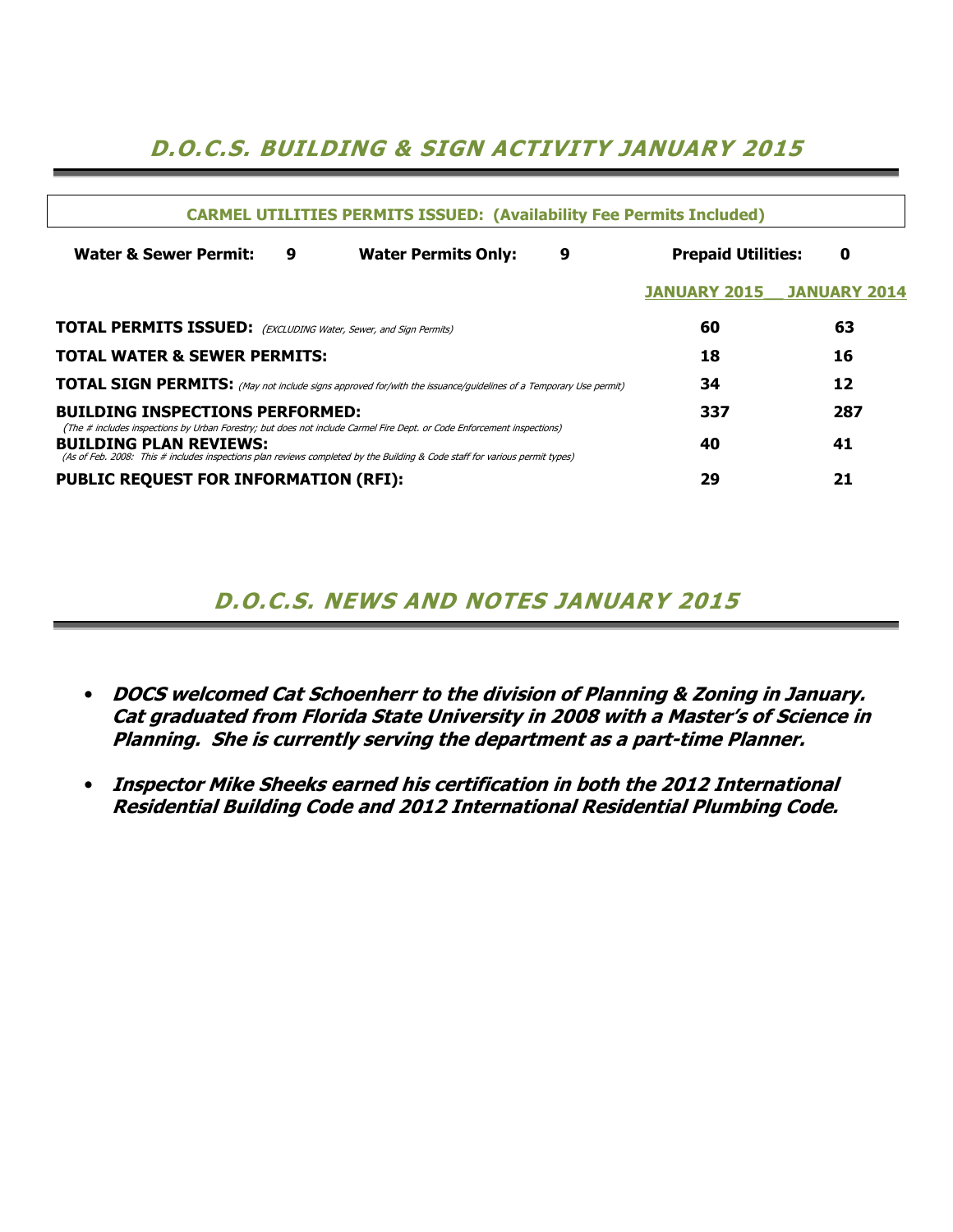# D.O.C.S. BUILDING & SIGN ACTIVITY JANUARY 2015

| <b>CARMEL UTILITIES PERMITS ISSUED: (Availability Fee Permits Included)</b>                                                                                                                                                                                                            |                                      |                                                                                                                        |    |                     |                     |  |  |  |  |  |
|----------------------------------------------------------------------------------------------------------------------------------------------------------------------------------------------------------------------------------------------------------------------------------------|--------------------------------------|------------------------------------------------------------------------------------------------------------------------|----|---------------------|---------------------|--|--|--|--|--|
| <b>Water &amp; Sewer Permit:</b>                                                                                                                                                                                                                                                       | 9<br><b>Water Permits Only:</b><br>9 |                                                                                                                        |    |                     |                     |  |  |  |  |  |
|                                                                                                                                                                                                                                                                                        |                                      |                                                                                                                        |    | <b>JANUARY 2015</b> | <b>JANUARY 2014</b> |  |  |  |  |  |
| <b>TOTAL PERMITS ISSUED:</b> (EXCLUDING Water, Sewer, and Sign Permits)                                                                                                                                                                                                                | 60                                   | 63                                                                                                                     |    |                     |                     |  |  |  |  |  |
| <b>TOTAL WATER &amp; SEWER PERMITS:</b>                                                                                                                                                                                                                                                |                                      |                                                                                                                        |    | 18                  | 16                  |  |  |  |  |  |
|                                                                                                                                                                                                                                                                                        |                                      | <b>TOTAL SIGN PERMITS:</b> (May not include signs approved for/with the issuance/guidelines of a Temporary Use permit) |    | 34                  | 12                  |  |  |  |  |  |
| <b>BUILDING INSPECTIONS PERFORMED:</b>                                                                                                                                                                                                                                                 |                                      |                                                                                                                        |    | 337                 | 287                 |  |  |  |  |  |
| (The # includes inspections by Urban Forestry; but does not include Carmel Fire Dept. or Code Enforcement inspections)<br><b>BUILDING PLAN REVIEWS:</b><br>(As of Feb. 2008: This # includes inspections plan reviews completed by the Building & Code staff for various permit types) |                                      | 40                                                                                                                     | 41 |                     |                     |  |  |  |  |  |
| <b>PUBLIC REQUEST FOR INFORMATION (RFI):</b>                                                                                                                                                                                                                                           | 29                                   | 21                                                                                                                     |    |                     |                     |  |  |  |  |  |

# D.O.C.S. NEWS AND NOTES JANUARY 2015

- DOCS welcomed Cat Schoenherr to the division of Planning & Zoning in January. Cat graduated from Florida State University in 2008 with a Master's of Science in Planning. She is currently serving the department as a part-time Planner.
- Inspector Mike Sheeks earned his certification in both the 2012 International Residential Building Code and 2012 International Residential Plumbing Code.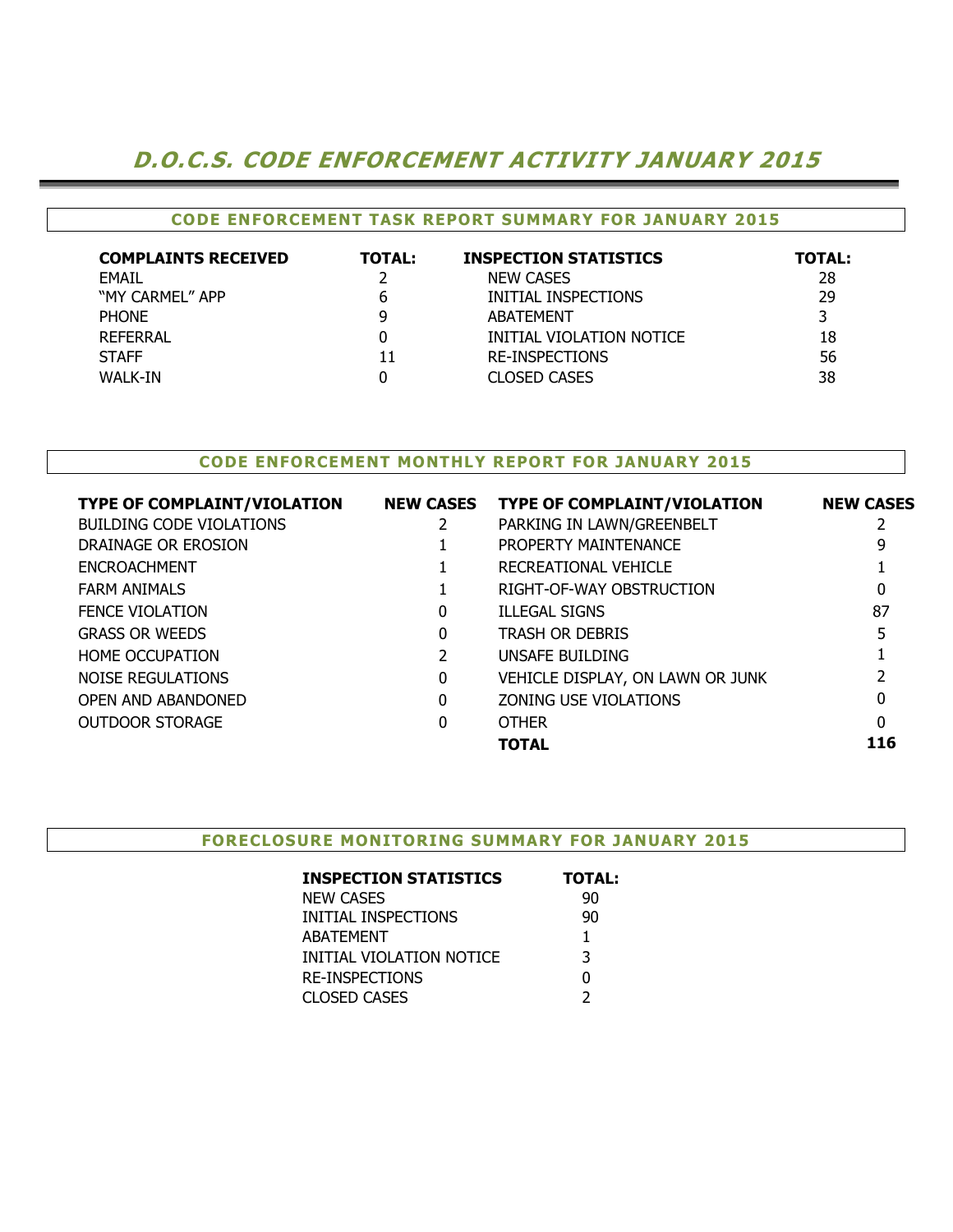# D.O.C.S. CODE ENFORCEMENT ACTIVITY JANUARY 2015

## CODE ENFORCEMENT TASK REPORT SUMMARY FOR JANUARY 2015

| <b>COMPLAINTS RECEIVED</b> | <b>TOTAL:</b> | <b>INSPECTION STATISTICS</b> | <b>TOTAL:</b> |
|----------------------------|---------------|------------------------------|---------------|
| <b>EMAIL</b>               |               | <b>NEW CASES</b>             | 28            |
| "MY CARMEL" APP            | h             | INITIAL INSPECTIONS          | 29            |
| <b>PHONE</b>               |               | ABATEMENT                    |               |
| REFERRAL                   |               | INITIAL VIOLATION NOTICE     | 18            |
| <b>STAFF</b>               | 11            | <b>RE-INSPECTIONS</b>        | 56            |
| <b>WALK-IN</b>             |               | CLOSED CASES                 | 38            |

### CODE ENFORCEMENT MONTHLY REPORT FOR JANUARY 2015

| <b>TYPE OF COMPLAINT/VIOLATION</b> | <b>NEW CASES</b> | <b>TYPE OF COMPLAINT/VIOLATION</b> | <b>NEW CASES</b> |
|------------------------------------|------------------|------------------------------------|------------------|
| BUILDING CODE VIOLATIONS           | 2                | PARKING IN LAWN/GREENBELT          |                  |
| DRAINAGE OR EROSION                |                  | PROPERTY MAINTENANCE               |                  |
| <b>ENCROACHMENT</b>                |                  | RECREATIONAL VEHICLE               |                  |
| <b>FARM ANIMALS</b>                |                  | RIGHT-OF-WAY OBSTRUCTION           | 0                |
| <b>FENCE VIOLATION</b>             | 0                | <b>ILLEGAL SIGNS</b>               | 87               |
| <b>GRASS OR WEEDS</b>              | 0                | <b>TRASH OR DEBRIS</b>             |                  |
| <b>HOME OCCUPATION</b>             |                  | UNSAFE BUILDING                    |                  |
| NOISE REGULATIONS                  | 0                | VEHICLE DISPLAY, ON LAWN OR JUNK   |                  |
| OPEN AND ABANDONED                 | 0                | ZONING USE VIOLATIONS              |                  |
| <b>OUTDOOR STORAGE</b>             | 0                | <b>OTHER</b>                       | 0                |
|                                    |                  | <b>TOTAL</b>                       | 116              |
|                                    |                  |                                    |                  |

#### FORECLOSURE MONITORING SUMMARY FOR JANUARY 2015

| <b>INSPECTION STATISTICS</b> | TOTAL: |
|------------------------------|--------|
| <b>NEW CASES</b>             | 90     |
| INITIAL INSPECTIONS          | 90     |
| <b>ABATEMENT</b>             | 1      |
| INITIAL VIOLATION NOTICE     | 3      |
| <b>RE-INSPECTIONS</b>        | 0      |
| <b>CLOSED CASES</b>          |        |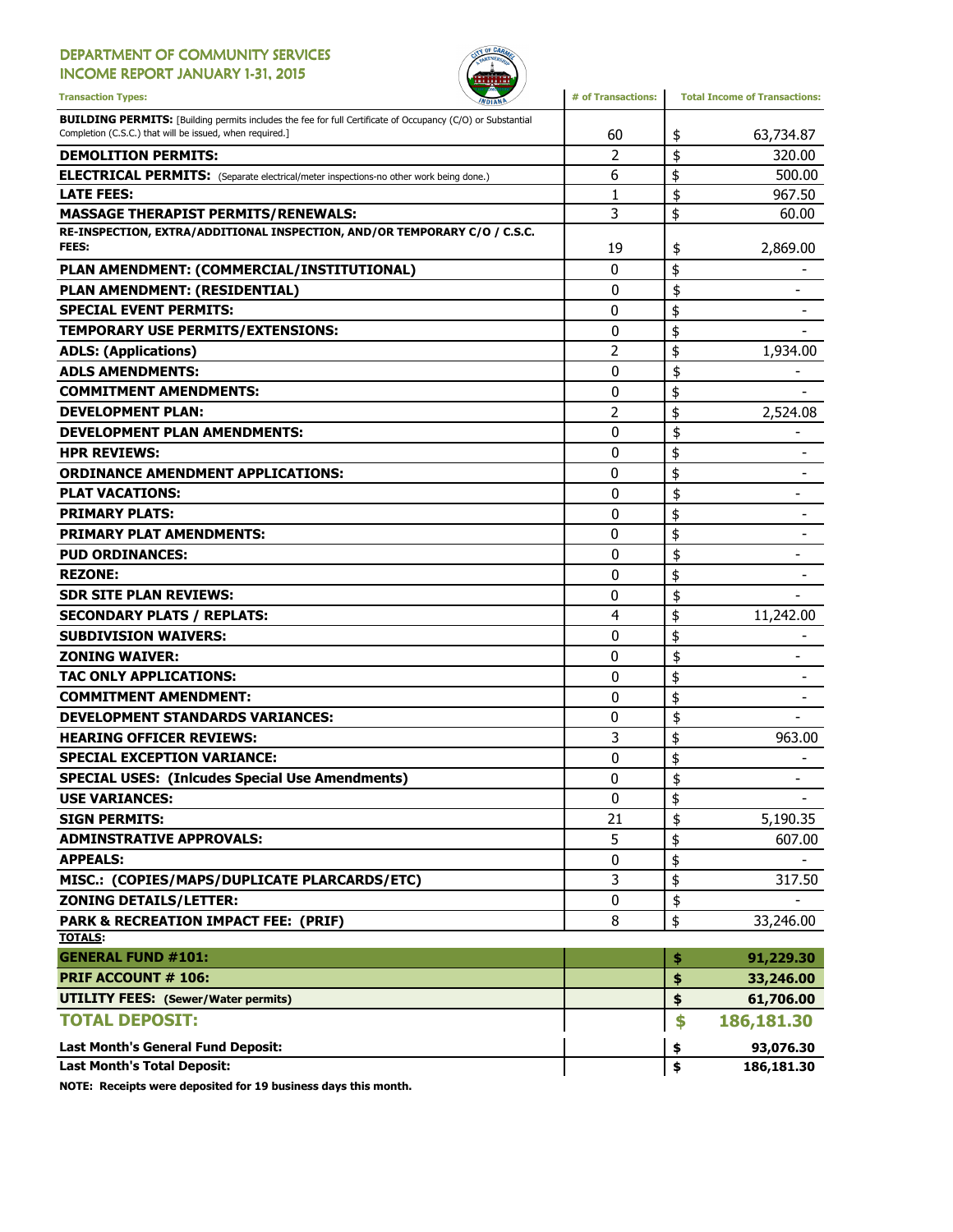## DEPARTMENT OF COMMUNITY SERVICES

INCOME REPORT JANUARY 1-31, 2015



| <b>Transaction Types:</b>                                                                                                                                                      | # of Transactions: | <b>Total Income of Transactions:</b> |
|--------------------------------------------------------------------------------------------------------------------------------------------------------------------------------|--------------------|--------------------------------------|
| <b>BUILDING PERMITS:</b> [Building permits includes the fee for full Certificate of Occupancy (C/O) or Substantial<br>Completion (C.S.C.) that will be issued, when required.] | 60                 | 63,734.87<br>\$                      |
| <b>DEMOLITION PERMITS:</b>                                                                                                                                                     | 2                  | \$<br>320.00                         |
| <b>ELECTRICAL PERMITS:</b> (Separate electrical/meter inspections-no other work being done.)                                                                                   | 6                  | \$<br>500.00                         |
| <b>LATE FEES:</b>                                                                                                                                                              | 1                  | \$<br>967.50                         |
| <b>MASSAGE THERAPIST PERMITS/RENEWALS:</b>                                                                                                                                     | 3                  | \$<br>60.00                          |
| RE-INSPECTION, EXTRA/ADDITIONAL INSPECTION, AND/OR TEMPORARY C/O / C.S.C.                                                                                                      |                    |                                      |
| <b>FEES:</b>                                                                                                                                                                   | 19                 | 2,869.00<br>\$                       |
| PLAN AMENDMENT: (COMMERCIAL/INSTITUTIONAL)                                                                                                                                     | 0                  | \$                                   |
| PLAN AMENDMENT: (RESIDENTIAL)                                                                                                                                                  | 0                  | \$                                   |
| <b>SPECIAL EVENT PERMITS:</b>                                                                                                                                                  | 0                  | \$                                   |
| TEMPORARY USE PERMITS/EXTENSIONS:                                                                                                                                              | 0                  | \$                                   |
| <b>ADLS: (Applications)</b>                                                                                                                                                    | 2                  | \$<br>1,934.00                       |
| <b>ADLS AMENDMENTS:</b>                                                                                                                                                        | 0                  | \$                                   |
| <b>COMMITMENT AMENDMENTS:</b>                                                                                                                                                  | 0                  | \$                                   |
| <b>DEVELOPMENT PLAN:</b>                                                                                                                                                       | 2                  | \$<br>2,524.08                       |
| <b>DEVELOPMENT PLAN AMENDMENTS:</b>                                                                                                                                            | 0                  | \$                                   |
| <b>HPR REVIEWS:</b>                                                                                                                                                            | 0                  | \$                                   |
| <b>ORDINANCE AMENDMENT APPLICATIONS:</b>                                                                                                                                       | 0                  | \$                                   |
| <b>PLAT VACATIONS:</b>                                                                                                                                                         | 0                  | \$                                   |
| <b>PRIMARY PLATS:</b>                                                                                                                                                          | 0                  | \$                                   |
| <b>PRIMARY PLAT AMENDMENTS:</b>                                                                                                                                                | 0                  | \$                                   |
| <b>PUD ORDINANCES:</b>                                                                                                                                                         | 0                  | \$                                   |
| <b>REZONE:</b>                                                                                                                                                                 | 0                  | \$                                   |
| <b>SDR SITE PLAN REVIEWS:</b>                                                                                                                                                  | 0                  | \$                                   |
| <b>SECONDARY PLATS / REPLATS:</b>                                                                                                                                              | 4                  | \$<br>11,242.00                      |
| <b>SUBDIVISION WAIVERS:</b>                                                                                                                                                    | 0                  | \$                                   |
| <b>ZONING WAIVER:</b>                                                                                                                                                          | 0                  | \$                                   |
| <b>TAC ONLY APPLICATIONS:</b>                                                                                                                                                  | 0                  | \$                                   |
| <b>COMMITMENT AMENDMENT:</b>                                                                                                                                                   | 0                  | \$                                   |
| <b>DEVELOPMENT STANDARDS VARIANCES:</b>                                                                                                                                        | 0                  | \$                                   |
| <b>HEARING OFFICER REVIEWS:</b>                                                                                                                                                | 3                  | \$<br>963.00                         |
| <b>SPECIAL EXCEPTION VARIANCE:</b>                                                                                                                                             | 0                  | \$                                   |
| <b>SPECIAL USES: (Inicudes Special Use Amendments)</b>                                                                                                                         | 0                  | \$                                   |
| <b>USE VARIANCES:</b>                                                                                                                                                          | $\pmb{0}$          | \$                                   |
| <b>SIGN PERMITS:</b>                                                                                                                                                           | 21                 | \$<br>5,190.35                       |
| <b>ADMINSTRATIVE APPROVALS:</b>                                                                                                                                                | 5                  | \$<br>607.00                         |
| <b>APPEALS:</b>                                                                                                                                                                | 0                  | \$                                   |
| MISC.: (COPIES/MAPS/DUPLICATE PLARCARDS/ETC)                                                                                                                                   | 3                  | \$<br>317.50                         |
| <b>ZONING DETAILS/LETTER:</b>                                                                                                                                                  | 0                  | \$                                   |
| PARK & RECREATION IMPACT FEE: (PRIF)                                                                                                                                           |                    | \$                                   |
| <b>TOTALS:</b>                                                                                                                                                                 | 8                  | 33,246.00                            |
| <b>GENERAL FUND #101:</b>                                                                                                                                                      |                    | \$<br>91,229.30                      |
| <b>PRIF ACCOUNT # 106:</b>                                                                                                                                                     |                    | \$<br>33,246.00                      |
| <b>UTILITY FEES:</b> (Sewer/Water permits)                                                                                                                                     |                    | \$<br>61,706.00                      |
| <b>TOTAL DEPOSIT:</b>                                                                                                                                                          |                    | \$<br>186,181.30                     |
|                                                                                                                                                                                |                    |                                      |
| <b>Last Month's General Fund Deposit:</b>                                                                                                                                      |                    | 93,076.30<br>\$                      |
| <b>Last Month's Total Deposit:</b>                                                                                                                                             |                    | \$<br>186,181.30                     |

NOTE: Receipts were deposited for 19 business days this month.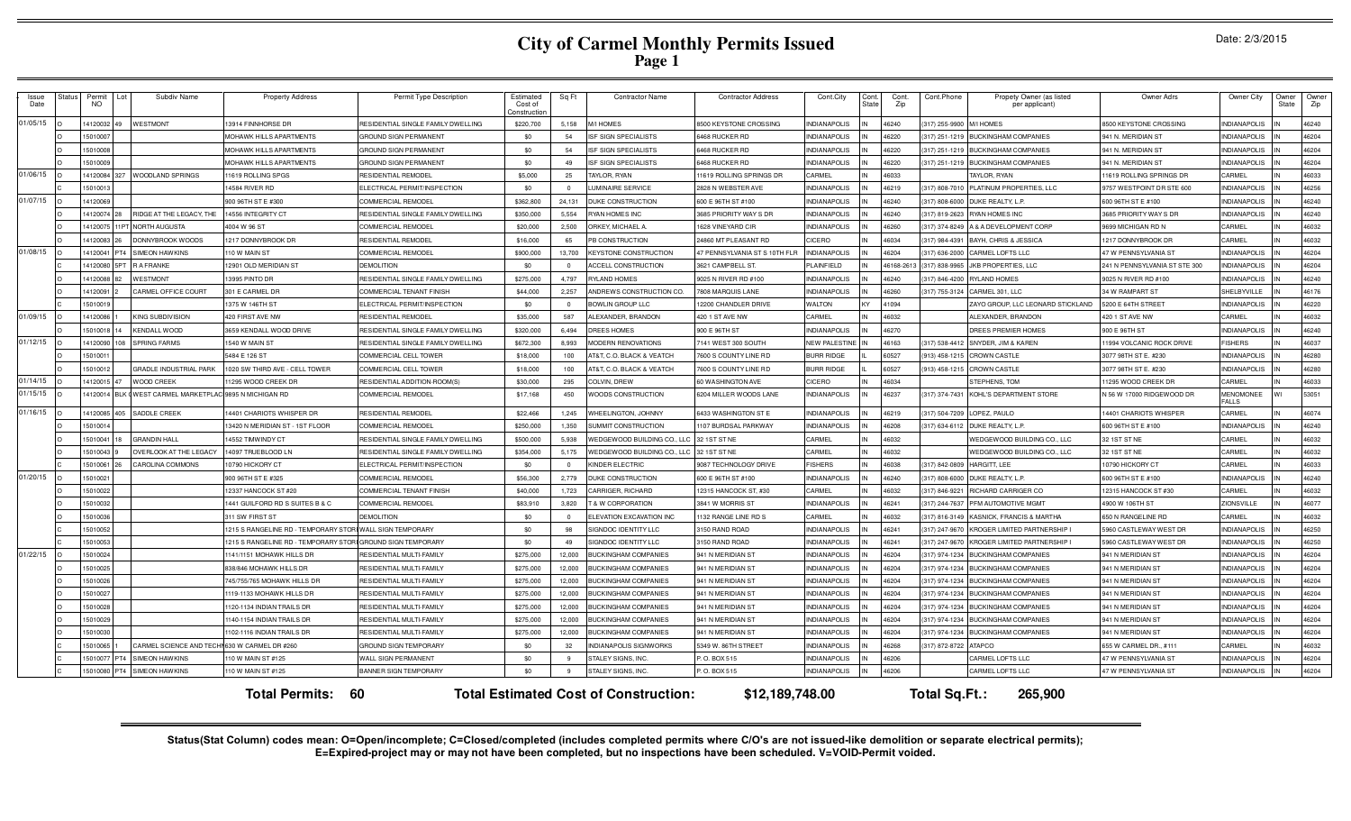# **City of Carmel Monthly Permits Issued Page 1**

|  | Date: 2/3/2015 |
|--|----------------|
|--|----------------|

| Issue<br>Date | status                                                                                                                     | Permit<br>NO. | Subdiv Name                                   | <b>Property Address</b>                                    | Permit Type Description            | Estimated<br>Cost of<br>onstructio | Sq Ft                   | Contractor Name                           | <b>Contractor Address</b>     | Cont.City            | Cont<br>tat | Cont.<br>Zip | Cont.Phone         | Propety Owner (as listed<br>per applicant) | Owner Adrs                    | Owner City                       | <b>Owner</b><br>State | Owner<br>Zip |
|---------------|----------------------------------------------------------------------------------------------------------------------------|---------------|-----------------------------------------------|------------------------------------------------------------|------------------------------------|------------------------------------|-------------------------|-------------------------------------------|-------------------------------|----------------------|-------------|--------------|--------------------|--------------------------------------------|-------------------------------|----------------------------------|-----------------------|--------------|
| 01/05/15      |                                                                                                                            | 1412003       | <b>WESTMONT</b>                               | 13914 FINNHORSE DR                                         | RESIDENTIAL SINGLE FAMILY DWELLING | \$220,700                          | 5,158                   | <b>MIHOMES</b>                            | 8500 KEYSTONE CROSSING        | <b>INDIANAPOLIS</b>  |             | 16240        | (317) 255-9900     | <b>MIHOMES</b>                             | 3500 KEYSTONE CROSSING        | <b>INDIANAPOLIS</b>              |                       | 46240        |
|               |                                                                                                                            | 1501000       |                                               | MOHAWK HILLS APARTMENTS                                    | GROUND SIGN PERMANENT              | \$0                                | 54                      | SF SIGN SPECIALISTS                       | 6468 RUCKER RD                | <b>INDIANAPOLIS</b>  |             | 46220        | $(317)$ 251-121    | <b>IUCKINGHAM COMPANIES</b>                | 941 N. MERIDIAN ST            | <b>INDIANAPOLIS</b>              |                       | 46204        |
|               |                                                                                                                            | 15010008      |                                               | <b>MOHAWK HILLS APARTMENTS</b>                             | GROUND SIGN PERMANENT              | \$0                                | 54                      | SF SIGN SPECIALISTS                       | 6468 RUCKER RD                | <b>INDIANAPOLIS</b>  |             | 16220        | $(317)$ 251-121    | <b>BUCKINGHAM COMPANIES</b>                | <b>941 N. MERIDIAN ST</b>     | NDIANAPOLIS                      |                       | 46204        |
|               |                                                                                                                            | 15010009      |                                               | <b>MOHAWK HILLS APARTMENTS</b>                             | <b>GROUND SIGN PERMANENT</b>       | \$0                                | 49                      | SF SIGN SPECIALISTS                       | 6468 RUCKER RD                | <b>INDIANAPOLIS</b>  |             | 16220        | (317) 251-1219     | <b>BUCKINGHAM COMPANIES</b>                | <b>941 N. MERIDIAN ST</b>     | <b>NDIANAPOLIS</b>               |                       | 46204        |
| 01/06/15      |                                                                                                                            | 14120084      | WOODLAND SPRINGS                              | 1619 ROLLING SPGS                                          | <b>RESIDENTIAL REMODEL</b>         | \$5,000                            | 25                      | TAYLOR, RYAN                              | 11619 ROLLING SPRINGS DR      | <b>ARMEI</b>         |             | 16033        |                    | AYLOR, RYAN                                | 1619 ROLLING SPRINGS DR       | ARMEI                            |                       | 46033        |
|               |                                                                                                                            | 15010013      |                                               | 4584 RIVER RD                                              | ELECTRICAL PERMIT/INSPECTION       | \$0                                | $\overline{0}$          | UMINAIRE SERVICE                          | 2828 N WEBSTER AVE            | <b>INDIANAPOLIS</b>  |             | 46219        | (317) 808-701      | PLATINUM PROPERTIES, LLC                   | 9757 WESTPOINT DR STE 600     | <b>INDIANAPOLIS</b>              |                       | 46256        |
| 01/07/15      |                                                                                                                            | 14120069      |                                               | 900 96TH ST E #300                                         | COMMERCIAL REMODEL                 | \$362,800                          | 24,131                  | DUKE CONSTRUCTION                         | 600 E 96TH ST #100            | <b>INDIANAPOLIS</b>  |             | 46240        | $(317) 808 - 6000$ | DUKE REALTY, L.P                           | 600 96TH ST E #100            | <b>INDIANAPOLIS</b>              |                       | 46240        |
|               |                                                                                                                            | 14120074      | RIDGE AT THE LEGACY, THE                      | 4556 INTEGRITY CT                                          | RESIDENTIAL SINGLE FAMILY DWELLING | \$350,000                          | 5.554                   | <b>RYAN HOMES INC</b>                     | 3685 PRIORITY WAY S DR        | <b>INDIANAPOLIS</b>  |             | 46240        | (317) 819-2623     | <b>RYAN HOMES INC</b>                      | <b>3685 PRIORITY WAY S DR</b> | <b>INDIANAPOLIS</b>              |                       | 46240        |
|               |                                                                                                                            | 1412007       | NORTH AUGUSTA                                 | 4004 W 96 ST                                               | COMMERCIAL REMODEI                 | \$20,000                           | 2.500                   | ORKEY, MICHAEL A                          | 1628 VINEYARD CIF             | <b>INDIANAPOLIS</b>  |             | 46260        | (317) 374-8249     | <b>&amp; A DEVELOPMENT CORP</b>            | <b>9699 MICHIGAN RD N</b>     | CARMEL                           |                       | 46032        |
|               |                                                                                                                            | 14120083      | DONNYBROOK WOODS                              | 217 DONNYBROOK DF                                          | RESIDENTIAL REMODEI                | \$16,000                           | 65                      | <b>B CONSTRUCTION</b>                     | 24860 MT PLEASANT RD          | CICERO               |             | 16034        | (317) 984-4391     | BAYH, CHRIS & JESSICA                      | 217 DONNYBROOK DF             | CARMEL                           |                       | 46032        |
| 01/08/15      |                                                                                                                            | 1412004       | <b>SIMEON HAWKINS</b>                         | 110 W MAIN ST                                              | COMMERCIAL REMODEL                 | \$900,000                          | 13,700                  | <b>KEYSTONE CONSTRUCTION</b>              | 47 PENNSYLVANIA ST S 10TH FLR | <b>INDIANAPOLIS</b>  |             | 46204        | (317) 636-200      | ARMEL LOFTS LLC                            | <b>47 W PENNSYLVANIA ST</b>   | <b>INDIANAPOLIS</b>              |                       | 46204        |
|               |                                                                                                                            | 1412008       | R A FRANKE                                    | 12901 OLD MERIDIAN ST                                      | <b>DEMOLITION</b>                  | \$0                                | $\overline{0}$          | ACCELL CONSTRUCTION                       | 3621 CAMPBELL ST              | PLAINFIELD           |             | 16168-261:   | (317) 838-996      | <b>KB PROPERTIES, LLC</b>                  | 241 N PENNSYLVANIA ST STE 300 | <b>INDIANAPOLIS</b>              |                       | 46204        |
|               |                                                                                                                            | 1412008       | WESTMONT                                      | 3995 PINTO DF                                              | RESIDENTIAL SINGLE FAMILY DWELLING | \$275,000                          | 4.797                   | <b>RYLAND HOMES</b>                       | 9025 N RIVER RD #100          | <b>INDIANAPOLIS</b>  |             | 16240        | (317) 846-420      | YLAND HOMES                                | 9025 N RIVER RD #100          | <b>INDIANAPOLIS</b>              |                       | 46240        |
|               |                                                                                                                            | 1412009       | ARMEL OFFICE COURT                            | 01 E CARMEL DR                                             | COMMERCIAL TENANT FINISH           | \$44,000                           | 2,257                   | ANDREWS CONSTRUCTION CO.                  | <b>7808 MARQUIS LANE</b>      | <b>INDIANAPOLIS</b>  |             | 16260        | 317) 755-3124      | CARMEL 301, LLC                            | <b>4 W RAMPART ST</b>         | SHELBYVILLE                      |                       | 46176        |
|               |                                                                                                                            | 15010019      |                                               | 375 W 146TH ST                                             | <b>LECTRICAL PERMIT/INSPECTION</b> | \$0                                | $\Omega$                | <b>BOWLIN GROUP LLC</b>                   | 2200 CHANDLER DRIVE           | WALTON               | KY          | 11094        |                    | ZAYO GROUP, LLC LEONARD STICKLAND          | 200 E 64TH STREET             | <b>INDIANAPOLIS</b>              |                       | 46220        |
| 01/09/15      |                                                                                                                            | 14120086      | KING SUBDIVISION                              | 420 FIRST AVE NW                                           | RESIDENTIAL REMODEL                | \$35,000                           | 587                     | ALEXANDER, BRANDON                        | 420 1 ST AVE NW               | CARMEL               | IN          | 46032        |                    | LEXANDER, BRANDON                          | <b>420 1 ST AVE NW</b>        | CARMEI                           |                       | 46032        |
|               |                                                                                                                            | 15010018      | <b>KENDALL WOOD</b>                           | 659 KENDALL WOOD DRIVE                                     | RESIDENTIAL SINGLE FAMILY DWELLING | \$320,000                          | 6.494                   | DREES HOMES                               | 900 E 96TH ST                 | <b>INDIANAPOLIS</b>  |             | 16270        |                    | DREES PREMIER HOMES                        | 900 E 96TH ST                 | <b>INDIANAPOLIS</b>              |                       | 46240        |
| 01/12/15      |                                                                                                                            | 14120090      | SPRING FARMS<br>108                           | 540 W MAIN ST                                              | RESIDENTIAL SINGLE FAMILY DWELLING | \$672,300                          | 8,993                   | <b>MODERN RENOVATIONS</b>                 | 7141 WEST 300 SOUTH           | <b>NEW PALESTINE</b> |             | 46163        | (317) 538-4412     | SNYDER, JIM & KAREN                        | 1994 VOLCANIC ROCK DRIVE      | <b>ISHERS</b>                    |                       | 46037        |
|               |                                                                                                                            | 1501001       |                                               | 5484 E 126 ST                                              | COMMERCIAL CELL TOWER              | \$18,000                           | 100                     | AT&T, C.O. BLACK & VEATCH                 | 7600 S COUNTY LINE RD         | <b>BURR RIDGE</b>    |             | 60527        | (913) 458-1215     | <b>CROWN CASTLE</b>                        | 3077 98TH ST E. #230          | <b>INDIANAPOLIS</b>              |                       | 46280        |
|               |                                                                                                                            | 1501001       | GRADLE INDUSTRIAL PARK                        | 020 SW THIRD AVE - CELL TOWER                              | COMMERCIAL CELL TOWER              | \$18,000                           | 100                     | AT&T, C.O. BLACK & VEATCH                 | 7600 S COUNTY LINE RD         | <b>BURR RIDGE</b>    |             | 60527        | (913) 458-1215     | <b>ROWN CASTLE</b>                         | 3077 98TH ST E. #230          | <b>INDIANAPOLIS</b>              |                       | 46280        |
| 01/14/15      |                                                                                                                            | 1412001       | <b>WOOD CREEK</b>                             | 1295 WOOD CREEK DR                                         | RESIDENTIAL ADDITION-ROOM(S)       | \$30,000                           | 295                     | COLVIN, DREW                              | 60 WASHINGTON AVE             | CICERO               |             | 16034        |                    | <b>STEPHENS, TOM</b>                       | 1295 WOOD CREEK DR            | CARMEL                           |                       | 46033        |
| 01/15/15      |                                                                                                                            | 14120014      | WEST CARMEL MARKETPLAC 9895 N MICHIGAN RD     |                                                            | COMMERCIAL REMODEI                 | \$17,168                           | 450                     | <b>NOODS CONSTRUCTION</b>                 | 6204 MILLER WOODS LANE        | <b>INDIANAPOLIS</b>  |             | 46237        | (317) 374-743      | <b>KOHL'S DEPARTMENT STORE</b>             | 56 W 17000 RIDGEWOOD DR       | <b>MENOMONEE</b><br><b>FALLS</b> |                       | 53051        |
| 01/16/15      |                                                                                                                            | 14120085      | 405<br>SADDLE CREEK                           | 4401 CHARIOTS WHISPER DR                                   | RESIDENTIAL REMODEL                | \$22,466                           | 1.245                   | WHEELINGTON, JOHNNY                       | 6433 WASHINGTON ST E          | <b>INDIANAPOLIS</b>  |             | 46219        | (317) 504-720      | OPEZ, PAULO                                | 4401 CHARIOTS WHISPER         | CARMEL                           |                       | 46074        |
|               |                                                                                                                            | 1501001       |                                               | 3420 N MERIDIAN ST - 1ST FLOOR                             | COMMERCIAL REMODEI                 | \$250,000                          | 1.350                   | <b>SUMMIT CONSTRUCTION</b>                | 1107 BURDSAL PARKWAY          | <b>INDIANAPOLIS</b>  |             | 46208        | (317) 634-6112     | DUKE REALTY, L.P                           | 600 96TH ST E #100            | <b>INDIANAPOLIS</b>              |                       | 46240        |
|               |                                                                                                                            | 15010041      | <b>GRANDIN HALL</b>                           | 4552 TIMWINDY CT                                           | RESIDENTIAL SINGLE FAMILY DWELLING | \$500,000                          | 5.938                   | <b><i>NEDGEWOOD BUILDING CO., LLC</i></b> | 32 1ST ST NE                  | CARMEL               |             | 16032        |                    | <b>NEDGEWOOD BUILDING CO., LLC</b>         | 32 1ST ST NE                  | CARMEL                           |                       | 46032        |
|               |                                                                                                                            | 15010043      | OVERLOOK AT THE LEGACY                        | 4097 TRUEBLOOD LN                                          | RESIDENTIAL SINGLE FAMILY DWELLING | \$354,000                          | 5,175                   | WEDGEWOOD BUILDING CO., LLC               | 32 1ST ST NE                  | CARMEL               | IN          | 16032        |                    | <b>WEDGEWOOD BUILDING CO., LLC</b>         | 32 1ST ST NE                  | CARMEL                           |                       | 46032        |
|               |                                                                                                                            | 1501006       | <b>CAROLINA COMMONS</b>                       | 0790 HICKORY CT                                            | ELECTRICAL PERMIT/INSPECTION       | \$0                                | $\overline{\mathbf{0}}$ | <b>INDER ELECTRIC</b>                     | 9087 TECHNOLOGY DRIVE         | <b>FISHERS</b>       |             | 16038        | (317) 842-080      | <b>ARGITT, LEE</b>                         | 0790 HICKORY CT               | CARMEL                           |                       | 46033        |
| 01/20/15      |                                                                                                                            | 1501002       |                                               | 00 96TH ST E #325                                          | COMMERCIAL REMODEI                 | \$56,300                           | 2.779                   | <b>DUKE CONSTRUCTION</b>                  | 600 E 96TH ST #100            | <b>INDIANAPOLIS</b>  |             | 16240        | (317) 808-6000     | <b>JUKE REALTY, L.P</b>                    | 600 96TH ST E #100            | NDIANAPOLI:                      |                       | 46240        |
|               |                                                                                                                            | 15010022      |                                               | 2337 HANCOCK ST #20                                        | COMMERCIAL TENANT FINISH           | \$40,000                           | 1.723                   | <b>CARRIGER, RICHARD</b>                  | 12315 HANCOCK ST. #30         | CARMEL               |             | 603:         | 317) 846-922       | <b>NICHARD CARRIGER CO</b>                 | 2315 HANCOCK ST #30           | CARMEL                           |                       | 46032        |
|               |                                                                                                                            | 1501003       |                                               | 441 GUILFORD RD S SUITES B & C                             | COMMERCIAL REMODEL                 | \$83,910                           | 3.820                   | & W CORPORATION                           | 3841 W MORRIS ST              | <b>INDIANAPOLIS</b>  |             | 16241        | (317) 244-7637     | PEM AUTOMOTIVE MGMT                        | 4900 W 106TH ST               | <b>ZIONSVILLE</b>                |                       | 46077        |
|               |                                                                                                                            | 1501003       |                                               | 311 SW FIRST ST                                            | <b>DEMOLITION</b>                  | \$0                                | $\overline{\mathbf{0}}$ | <b>LEVATION EXCAVATION INC</b>            | 1132 RANGE LINE RD S          | CARMEL               |             | 16032        | (317) 816-3149     | KASNICK, FRANCIS & MARTHA                  | <b>650 N RANGELINE RD</b>     | CARMEL                           |                       | 46032        |
|               |                                                                                                                            | 15010052      |                                               | 1215 S RANGELINE RD - TEMPORARY STORI WALL SIGN TEMPORARY  |                                    | \$0                                | 98                      | SIGNDOC IDENTITY LLC                      | 3150 RAND ROAD                | <b>INDIANAPOLIS</b>  |             | 46241        | (317) 247-967      | <b>KROGER LIMITED PARTNERSHIP I</b>        | 960 CASTLEWAY WEST DR         | <b>INDIANAPOLIS</b>              |                       | 46250        |
|               |                                                                                                                            | 15010053      |                                               | 215 S RANGELINE RD - TEMPORARY STORI GROUND SIGN TEMPORARY |                                    | \$0                                | 49                      | SIGNDOC IDENTITY LLC                      | 3150 RAND ROAD                | <b>INDIANAPOLIS</b>  |             | 46241        | (317) 247-9670     | <b>KROGER LIMITED PARTNERSHIP I</b>        | 960 CASTLEWAY WEST DR         | <b>INDIANAPOLIS</b>              |                       | 46250        |
| 01/22/15      |                                                                                                                            | 15010024      |                                               | 141/1151 MOHAWK HILLS DR                                   | RESIDENTIAL MULTI-FAMILY           | \$275,000                          | 12,000                  | <b>BUCKINGHAM COMPANIES</b>               | 941 N MERIDIAN ST             | <b>INDIANAPOLIS</b>  |             | 46204        | (317) 974-1234     | <b>BUCKINGHAM COMPANIES</b>                | <b>941 N MERIDIAN ST</b>      | <b>INDIANAPOLIS</b>              |                       | 46204        |
|               |                                                                                                                            | 1501002       |                                               | 838/846 MOHAWK HILLS DR                                    | RESIDENTIAL MULTI-FAMILY           | \$275,000                          | 12,000                  | <b>BUCKINGHAM COMPANIES</b>               | 941 N MERIDIAN ST             | <b>INDIANAPOLIS</b>  |             | 16204        | (317) 974-123      | <b>IUCKINGHAM COMPANIES</b>                | 941 N MERIDIAN ST             | <b>INDIANAPOLIS</b>              |                       | 46204        |
|               |                                                                                                                            | 15010026      |                                               | 745/755/765 MOHAWK HILLS DR                                | RESIDENTIAL MULTI-FAMILY           | \$275,000                          | 12,000                  | <b>BUCKINGHAM COMPANIES</b>               | 941 N MERIDIAN ST             | <b>INDIANAPOLIS</b>  |             | 46204        | (317) 974-123      | <b>BUCKINGHAM COMPANIES</b>                | 941 N MERIDIAN ST             | <b>INDIANAPOLIS</b>              |                       | 46204        |
|               |                                                                                                                            | 1501002       |                                               | 119-1133 MOHAWK HILLS DR                                   | RESIDENTIAL MULTI-FAMILY           | \$275,000                          | 12,000                  | <b>BUCKINGHAM COMPANIES</b>               | 941 N MERIDIAN ST             | <b>INDIANAPOLIS</b>  |             | 46204        | (317) 974-123      | <b>IUCKINGHAM COMPANIES</b>                | 941 N MERIDIAN ST             | <b>INDIANAPOLIS</b>              |                       | 46204        |
|               |                                                                                                                            | 1501002       |                                               | 120-1134 INDIAN TRAILS DR                                  | RESIDENTIAL MULTI-FAMILY           | \$275,000                          | 12,000                  | <b>UCKINGHAM COMPANIES</b>                | 941 N MERIDIAN ST             | <b>INDIANAPOLIS</b>  |             | 16204        | (317) 974-1234     | <b>IUCKINGHAM COMPANIES</b>                | 41 N MERIDIAN ST              | <b>NDIANAPOLIS</b>               |                       | 46204        |
|               |                                                                                                                            | 15010029      |                                               | 140-1154 INDIAN TRAILS DR                                  | <b>ESIDENTIAL MULTI-FAMILY</b>     | \$275,000                          | 12,000                  | <b>UCKINGHAM COMPANIES</b>                | 941 N MERIDIAN ST             | <b>NDIANAPOLIS</b>   |             | 16204        | (317) 974-1234     | <b>BUCKINGHAM COMPANIES</b>                | 41 N MERIDIAN ST              | NDIANAPOLIS                      |                       | 46204        |
|               |                                                                                                                            | 1501003       |                                               | 102-1116 INDIAN TRAILS DR                                  | RESIDENTIAL MULTI-FAMILY           | \$275,000                          | 12,000                  | <b>UCKINGHAM COMPANIES</b>                | 941 N MERIDIAN ST             | <b>INDIANAPOLIS</b>  |             | 46204        | (317) 974-1234     | <b>BUCKINGHAM COMPANIES</b>                | <b>941 N MERIDIAN ST</b>      | NDIANAPOLIS                      |                       | 46204        |
|               |                                                                                                                            | 15010065      | CARMEL SCIENCE AND TECHI 630 W CARMEL DR #260 |                                                            | GROUND SIGN TEMPORARY              | \$0                                | 32                      | <b>INDIANAPOLIS SIGNWORKS</b>             | 5349 W. 86TH STREET           | <b>INDIANAPOLIS</b>  |             | 46268        | (317) 872-872      | <b>ATAPCO</b>                              | 655 W CARMEL DR., #111        | CARMEL                           |                       | 46032        |
|               |                                                                                                                            | 15010077      | PT4<br>SIMEON HAWKINS                         | 10 W MAIN ST #125                                          | WALL SIGN PERMANENT                | \$0                                | 9                       | STALEY SIGNS, INC.                        | P.O. BOX 515                  | <b>INDIANAPOLIS</b>  |             | 46206        |                    | CARMEL LOFTS LLC                           | <b>17 W PENNSYLVANIA ST</b>   | <b>INDIANAPOLIS</b>              |                       | 46204        |
|               |                                                                                                                            |               | 15010080 PT4 SIMEON HAWKINS                   | 10 W MAIN ST #125                                          | <b>BANNER SIGN TEMPORARY</b>       | \$0                                | $\mathbf{q}$            | STALEY SIGNS, INC.                        | P.O. BOX 515                  | <b>INDIANAPOLIS</b>  |             | 46206        |                    | CARMEL LOFTS LLC                           | <b>47 W PENNSYLVANIA ST</b>   | <b>INDIANAPOLIS</b>              |                       | 46204        |
|               | Total Sq.Ft.:<br>60<br><b>Total Estimated Cost of Construction:</b><br>\$12,189,748.00<br>265,900<br><b>Total Permits:</b> |               |                                               |                                                            |                                    |                                    |                         |                                           |                               |                      |             |              |                    |                                            |                               |                                  |                       |              |

Status(Stat Column) codes mean: O=Open/incomplete; C=Closed/completed (includes completed permits where C/O's are not issued-like demolition or separate electrical permits);<br>E=Expired-project may or may not have been compl